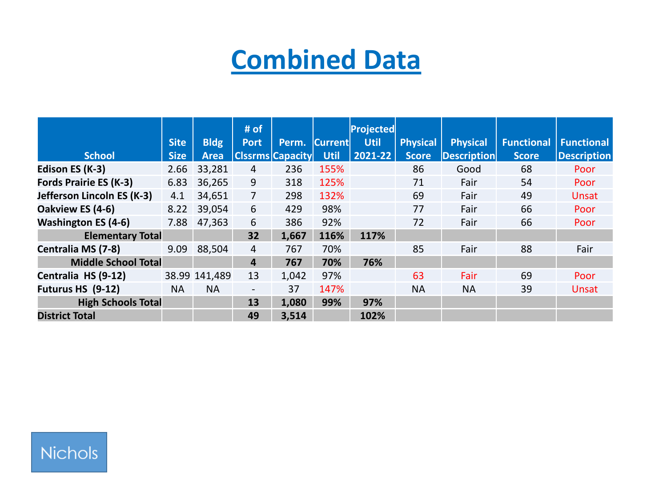# **Combined Data**

|                               |             |               | # of           |                         |                | Projected   |                 |                 |                   |                    |
|-------------------------------|-------------|---------------|----------------|-------------------------|----------------|-------------|-----------------|-----------------|-------------------|--------------------|
|                               | <b>Site</b> | <b>Bldg</b>   | <b>Port</b>    | Perm.                   | <b>Current</b> | <b>Util</b> | <b>Physical</b> | <b>Physical</b> | <b>Functional</b> | <b>Functional</b>  |
| <b>School</b>                 | <b>Size</b> | Area          |                | <b>Clssrms Capacity</b> | <b>Util</b>    | 2021-22     | <b>Score</b>    | Description     | <b>Score</b>      | <b>Description</b> |
| Edison ES (K-3)               | 2.66        | 33,281        | 4              | 236                     | 155%           |             | 86              | Good            | 68                | Poor               |
| <b>Fords Prairie ES (K-3)</b> | 6.83        | 36,265        | 9              | 318                     | 125%           |             | 71              | Fair            | 54                | Poor               |
| Jefferson Lincoln ES (K-3)    | 4.1         | 34,651        | 7              | 298                     | 132%           |             | 69              | Fair            | 49                | <b>Unsat</b>       |
| Oakview ES (4-6)              | 8.22        | 39,054        | 6              | 429                     | 98%            |             | 77              | Fair            | 66                | Poor               |
| <b>Washington ES (4-6)</b>    | 7.88        | 47,363        | 6              | 386                     | 92%            |             | 72              | Fair            | 66                | Poor               |
| <b>Elementary Total</b>       |             |               | 32             | 1,667                   | 116%           | 117%        |                 |                 |                   |                    |
| Centralia MS (7-8)            | 9.09        | 88,504        | 4              | 767                     | 70%            |             | 85              | Fair            | 88                | Fair               |
| <b>Middle School Total</b>    |             |               | 4              | 767                     | 70%            | 76%         |                 |                 |                   |                    |
| Centralia HS (9-12)           |             | 38.99 141,489 | 13             | 1,042                   | 97%            |             | 63              | Fair            | 69                | Poor               |
| Futurus HS (9-12)             | <b>NA</b>   | <b>NA</b>     | $\blacksquare$ | 37                      | 147%           |             | <b>NA</b>       | <b>NA</b>       | 39                | Unsat              |
| <b>High Schools Total</b>     |             |               | 13             | 1,080                   | 99%            | 97%         |                 |                 |                   |                    |
| <b>District Total</b>         |             |               | 49             | 3,514                   |                | 102%        |                 |                 |                   |                    |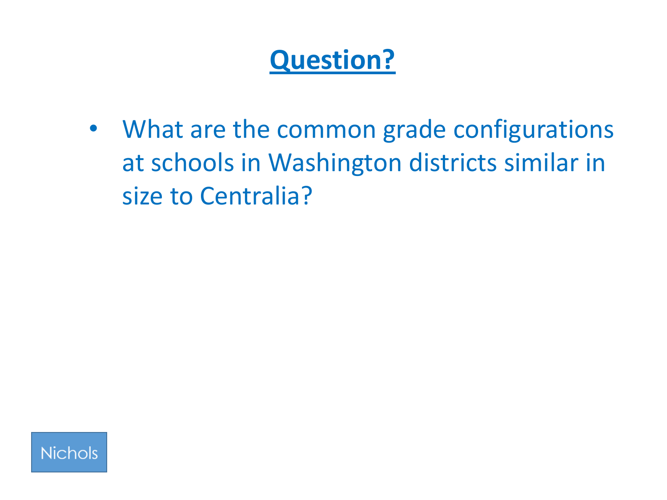# **Question?**

• What are the common grade configurations at schools in Washington districts similar in size to Centralia?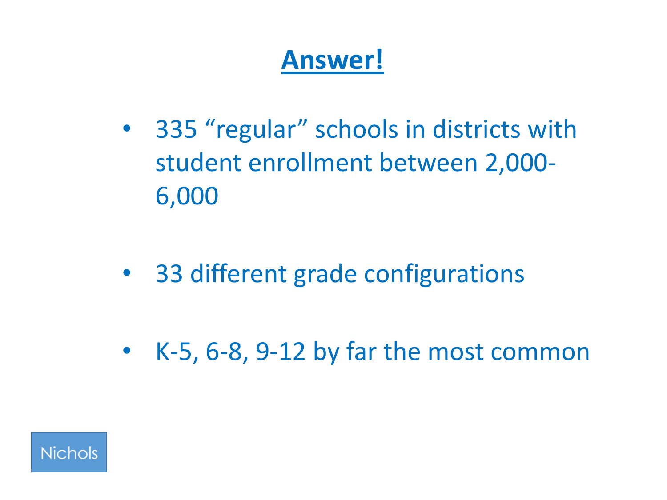# **Answer!**

- 335 "regular" schools in districts with student enrollment between 2,000- 6,000
- 33 different grade configurations
- K-5, 6-8, 9-12 by far the most common

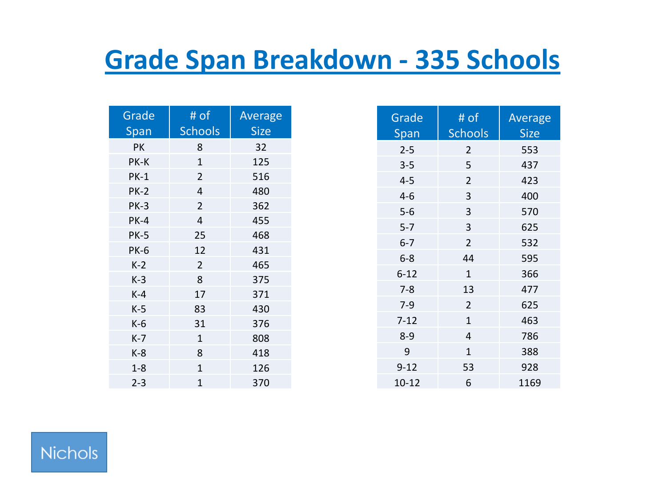## **Grade Span Breakdown - 335 Schools**

| Grade<br>Span | # of<br><b>Schools</b> | Average<br><b>Size</b> |
|---------------|------------------------|------------------------|
| PК            | 8                      | 32                     |
| PK-K          | $\mathbf{1}$           | 125                    |
| $PK-1$        | $\overline{2}$         | 516                    |
| <b>PK-2</b>   | 4                      | 480                    |
| $PK-3$        | $\overline{2}$         | 362                    |
| $PK-4$        | 4                      | 455                    |
| <b>PK-5</b>   | 25                     | 468                    |
| <b>PK-6</b>   | 12                     | 431                    |
| $K-2$         | $\overline{2}$         | 465                    |
| $K-3$         | 8                      | 375                    |
| $K-4$         | 17                     | 371                    |
| $K-5$         | 83                     | 430                    |
| $K-6$         | 31                     | 376                    |
| $K-7$         | $\mathbf{1}$           | 808                    |
| $K-8$         | 8                      | 418                    |
| $1 - 8$       | $\overline{1}$         | 126                    |
| $2 - 3$       | $\mathbf{1}$           | 370                    |

| Grade<br>Span | # of<br><b>Schools</b> | Average<br><b>Size</b> |
|---------------|------------------------|------------------------|
| $2 - 5$       | 2                      | 553                    |
| $3 - 5$       | 5                      | 437                    |
| $4-5$         | $\overline{2}$         | 423                    |
| $4-6$         | 3                      | 400                    |
| $5-6$         | 3                      | 570                    |
| $5 - 7$       | 3                      | 625                    |
| $6 - 7$       | $\overline{2}$         | 532                    |
| $6 - 8$       | 44                     | 595                    |
| $6 - 12$      | $\mathbf{1}$           | 366                    |
| $7 - 8$       | 13                     | 477                    |
| $7 - 9$       | $\overline{2}$         | 625                    |
| $7 - 12$      | $\mathbf{1}$           | 463                    |
| $8 - 9$       | 4                      | 786                    |
| 9             | $\mathbf{1}$           | 388                    |
| $9 - 12$      | 53                     | 928                    |
| $10 - 12$     | 6                      | 1169                   |

#### **Nichols**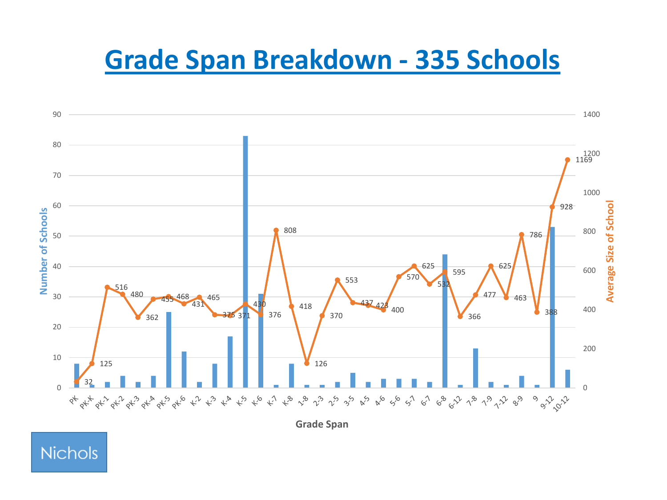### **Grade Span Breakdown - 335 Schools**



**Grade Span**

#### **Nichols**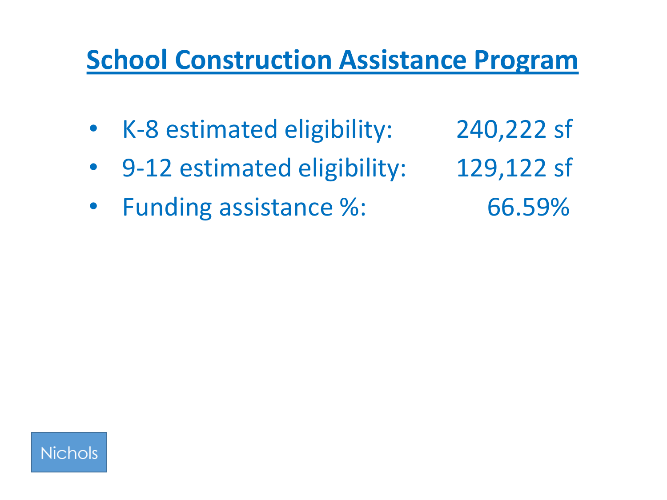### **School Construction Assistance Program**

- K-8 estimated eligibility: 240,222 sf
- 9-12 estimated eligibility: 129,122 sf
- Funding assistance %: 66.59%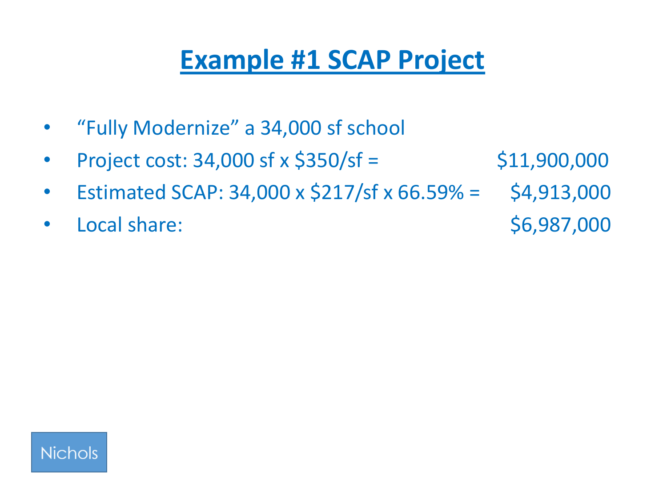## **Example #1 SCAP Project**

- "Fully Modernize" a 34,000 sf school
- Project cost:  $34,000$  sf x  $$350/sf =$  \$11,900,000
- Estimated SCAP: 34,000 x  $\frac{217}{s}$  x 66.59% = \$4,913,000
- Local share:  $$6,987,000$

**Nichols**